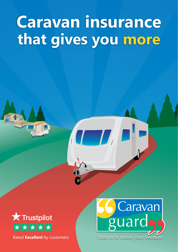# **Caravan insurance that gives you more**



Rated **Excellent** by customers

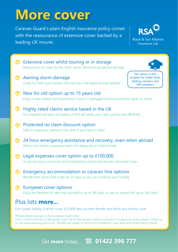### **More cover**

Caravan Guard's plain English insurance policy comes with the reassurance of extensive cover backed by a leading UK insurer.





\*Please check [www.gov.uk](https://www.gov.uk) for European travel rules. This is a brief summary of the policy cover. For further details, a policy summary or a specimen policy, please contact us or visit [www.caravanguard.co.uk](https://www.caravanguard.co.uk) . Benefits are subject to terms and conditions, cover level and underwriting criteria.

#### Get **more** today... **[01422 396 777](tel:01422396777)**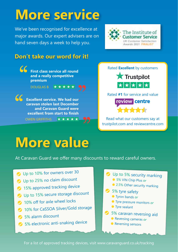## **More service**

We've been recognised for excellence at major awards. Our expert advisers are on hand seven days a week to help you.



#### **Don't take our word for it!**



OWEN GRIFFITHS



Rated **Excellent** by customers

Rated **#1** for service and value

review centre

Read what our customers say at [trustpilot.com](https://uk.trustpilot.com/review/www.caravanguard.co.uk) and [reviewcentre.com](https://www.reviewcentre.com/reviews153371.html)

### **More value**

★★★★★

At Caravan Guard we offer many discounts to reward careful owners.

- O Up to 10% for owners over 30
- **◆** Up to 25% no claim discount
- **◆ 15% approved tracking device**
- O Up to 15% secure storage discount
- 10% off for axle wheel locks
- ◆ 10% for CaSSOA Silver/Gold storage
- 5% alarm discount
- ◆ 5% electronic anti-snaking device

Up to 5% security marking 5% VIN Chip Plus *or* ● 2.5% Other security marking

- S% tyre safety
	- Tyron bands *or*
	- Tyre pressure monitors *or*
	- **Tyre sealant**
- **5% caravan reversing aid** 
	- Reversing cameras *or*
	- **Reversing sensors**

For a list of approved tracking devices, visit [www.caravanguard.co.uk/tracking](https://www.caravanguard.co.uk/touring-caravan-insurance/tracking-devices.php)